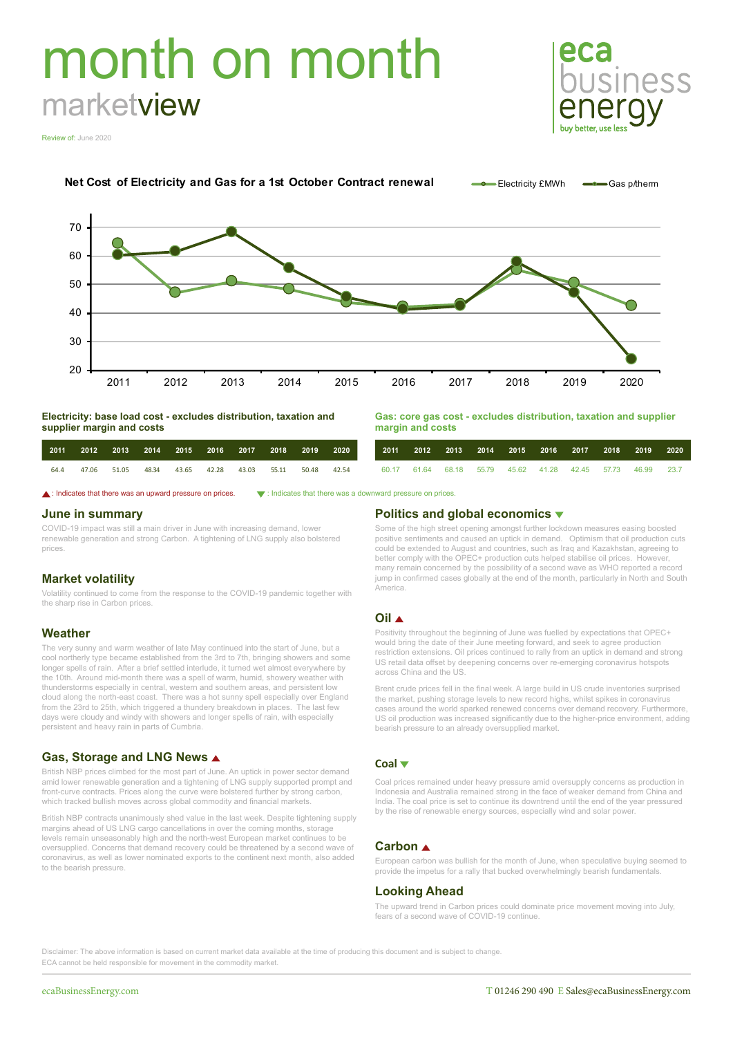# month on month marketview



Review of: June 2020





**Electricity: base load cost - excludes distribution, taxation and supplier margin and costs**

|      |             |  | 2011 2012 2013 2014 2015 2016 2017 2018 2019 2020 |  |                   |  |
|------|-------------|--|---------------------------------------------------|--|-------------------|--|
| 64.4 | 47.06 51.05 |  | 48.34 43.65 42.28 43.03                           |  | 55.11 50.48 42.54 |  |

**Gas: core gas cost - excludes distribution, taxation and supplier margin and costs**

|  |  |  |  | 2011 2012 2013 2014 2015 2016 2017 2018 2019 2020          |  |
|--|--|--|--|------------------------------------------------------------|--|
|  |  |  |  | 60.17 61.64 68.18 55.79 45.62 41.28 42.45 57.73 46.99 23.7 |  |

**△**: Indicates that there was an upward pressure on prices.  $\bullet$ : Indicates that there was a downward pressure on prices

### **June in summary**

COVID-19 impact was still a main driver in June with increasing demand, lower renewable generation and strong Carbon. A tightening of LNG supply also bolstered prices.

# **Market volatility**

Volatility continued to come from the response to the COVID-19 pandemic together with the sharp rise in Carbon prices.

# **Weather**

The very sunny and warm weather of late May continued into the start of June, but a cool northerly type became established from the 3rd to 7th, bringing showers and some longer spells of rain. After a brief settled interlude, it turned wet almost everywhere by the 10th. Around mid-month there was a spell of warm, humid, showery weather with thunderstorms especially in central, western and southern areas, and persistent low cloud along the north-east coast. There was a hot sunny spell especially over England from the 23rd to 25th, which triggered a thundery breakdown in places. The last few days were cloudy and windy with showers and longer spells of rain, with especially persistent and heavy rain in parts of Cumbria.

# **Gas, Storage and LNG News**

British NBP prices climbed for the most part of June. An uptick in power sector demand amid lower renewable generation and a tightening of LNG supply supported prompt and front-curve contracts. Prices along the curve were bolstered further by strong carbon, which tracked bullish moves across global commodity and financial markets.

British NBP contracts unanimously shed value in the last week. Despite tightening supply margins ahead of US LNG cargo cancellations in over the coming months, storage levels remain unseasonably high and the north-west European market continues to be oversupplied. Concerns that demand recovery could be threatened by a second wave of coronavirus, as well as lower nominated exports to the continent next month, also added to the bearish pressure.

### **Politics and global economics**

Some of the high street opening amongst further lockdown measures easing boosted positive sentiments and caused an uptick in demand. Optimism that oil production cuts could be extended to August and countries, such as Iraq and Kazakhstan, agreeing to better comply with the OPEC+ production cuts helped stabilise oil prices. However, many remain concerned by the possibility of a second wave as WHO reported a record jump in confirmed cases globally at the end of the month, particularly in North and South .<br>America.

### **Oil**

Positivity throughout the beginning of June was fuelled by expectations that OPEC+ would bring the date of their June meeting forward, and seek to agree production restriction extensions. Oil prices continued to rally from an uptick in demand and strong US retail data offset by deepening concerns over re-emerging coronavirus hotspots across China and the US.

Brent crude prices fell in the final week. A large build in US crude inventories surprised the market, pushing storage levels to new record highs, whilst spikes in coronavirus cases around the world sparked renewed concerns over demand recovery. Furthermore, US oil production was increased significantly due to the higher-price environment, adding bearish pressure to an already oversupplied market.

### **Coal**

Coal prices remained under heavy pressure amid oversupply concerns as production in Indonesia and Australia remained strong in the face of weaker demand from China and India. The coal price is set to continue its downtrend until the end of the year pressured by the rise of renewable energy sources, especially wind and solar power.

# **Carbon**

European carbon was bullish for the month of June, when speculative buying seemed to provide the impetus for a rally that bucked overwhelmingly bearish fundamentals.

### **Looking Ahead**

The upward trend in Carbon prices could dominate price movement moving into July, fears of a second wave of COVID-19 continue.

Disclaimer: The above information is based on current market data available at the time of producing this document and is subject to change. ECA cannot be held responsible for movement in the commodity market.